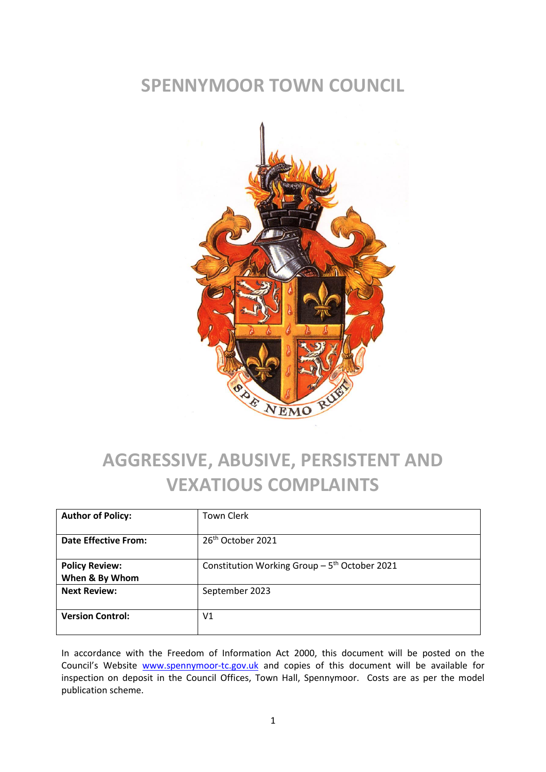#### **SPENNYMOOR TOWN COUNCIL**



# **AGGRESSIVE, ABUSIVE, PERSISTENT AND VEXATIOUS COMPLAINTS**

| <b>Author of Policy:</b>                | <b>Town Clerk</b>                                          |
|-----------------------------------------|------------------------------------------------------------|
| Date Effective From:                    | 26 <sup>th</sup> October 2021                              |
| <b>Policy Review:</b><br>When & By Whom | Constitution Working Group $-5$ <sup>th</sup> October 2021 |
| <b>Next Review:</b>                     | September 2023                                             |
| <b>Version Control:</b>                 | V <sub>1</sub>                                             |

In accordance with the Freedom of Information Act 2000, this document will be posted on the Council's Website [www.spennymoor-tc.gov.uk](http://www.spennymoor-tc.gov.uk/) and copies of this document will be available for inspection on deposit in the Council Offices, Town Hall, Spennymoor. Costs are as per the model publication scheme.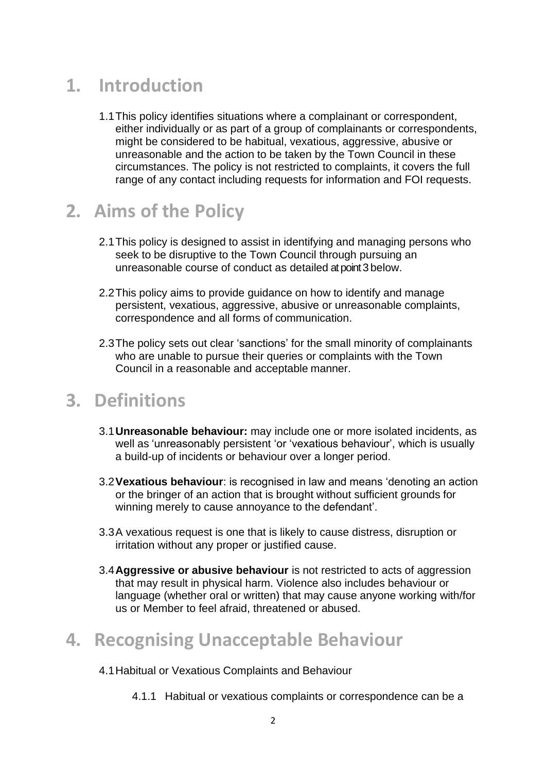## **1. Introduction**

1.1This policy identifies situations where a complainant or correspondent, either individually or as part of a group of complainants or correspondents, might be considered to be habitual, vexatious, aggressive, abusive or unreasonable and the action to be taken by the Town Council in these circumstances. The policy is not restricted to complaints, it covers the full range of any contact including requests for information and FOI requests.

#### **2. Aims of the Policy**

- 2.1This policy is designed to assist in identifying and managing persons who seek to be disruptive to the Town Council through pursuing an unreasonable course of conduct as detailed atpoint 3 below.
- 2.2This policy aims to provide guidance on how to identify and manage persistent, vexatious, aggressive, abusive or unreasonable complaints, correspondence and all forms of communication.
- 2.3The policy sets out clear 'sanctions' for the small minority of complainants who are unable to pursue their queries or complaints with the Town Council in a reasonable and acceptable manner.

#### **3. Definitions**

- 3.1**Unreasonable behaviour:** may include one or more isolated incidents, as well as 'unreasonably persistent 'or 'vexatious behaviour', which is usually a build-up of incidents or behaviour over a longer period.
- 3.2**Vexatious behaviour**: is recognised in law and means 'denoting an action or the bringer of an action that is brought without sufficient grounds for winning merely to cause annoyance to the defendant'.
- 3.3A vexatious request is one that is likely to cause distress, disruption or irritation without any proper or justified cause.
- 3.4**Aggressive or abusive behaviour** is not restricted to acts of aggression that may result in physical harm. Violence also includes behaviour or language (whether oral or written) that may cause anyone working with/for us or Member to feel afraid, threatened or abused.

## **4. Recognising Unacceptable Behaviour**

#### 4.1Habitual or Vexatious Complaints and Behaviour

4.1.1 Habitual or vexatious complaints or correspondence can be a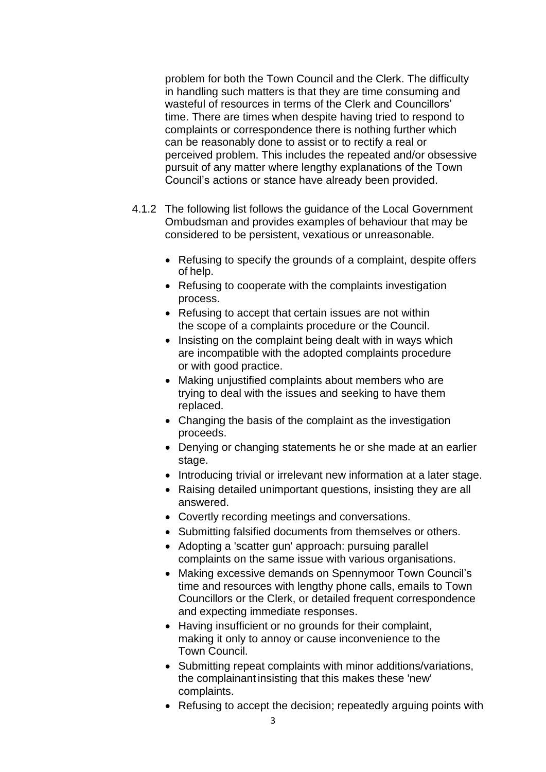problem for both the Town Council and the Clerk. The difficulty in handling such matters is that they are time consuming and wasteful of resources in terms of the Clerk and Councillors' time. There are times when despite having tried to respond to complaints or correspondence there is nothing further which can be reasonably done to assist or to rectify a real or perceived problem. This includes the repeated and/or obsessive pursuit of any matter where lengthy explanations of the Town Council's actions or stance have already been provided.

- 4.1.2 The following list follows the guidance of the Local Government Ombudsman and provides examples of behaviour that may be considered to be persistent, vexatious or unreasonable.
	- Refusing to specify the grounds of a complaint, despite offers of help.
	- Refusing to cooperate with the complaints investigation process.
	- Refusing to accept that certain issues are not within the scope of a complaints procedure or the Council.
	- Insisting on the complaint being dealt with in ways which are incompatible with the adopted complaints procedure or with good practice.
	- Making unjustified complaints about members who are trying to deal with the issues and seeking to have them replaced.
	- Changing the basis of the complaint as the investigation proceeds.
	- Denying or changing statements he or she made at an earlier stage.
	- Introducing trivial or irrelevant new information at a later stage.
	- Raising detailed unimportant questions, insisting they are all answered.
	- Covertly recording meetings and conversations.
	- Submitting falsified documents from themselves or others.
	- Adopting a 'scatter gun' approach: pursuing parallel complaints on the same issue with various organisations.
	- Making excessive demands on Spennymoor Town Council's time and resources with lengthy phone calls, emails to Town Councillors or the Clerk, or detailed frequent correspondence and expecting immediate responses.
	- Having insufficient or no grounds for their complaint, making it only to annoy or cause inconvenience to the Town Council.
	- Submitting repeat complaints with minor additions/variations, the complainant insisting that this makes these 'new' complaints.
	- Refusing to accept the decision; repeatedly arguing points with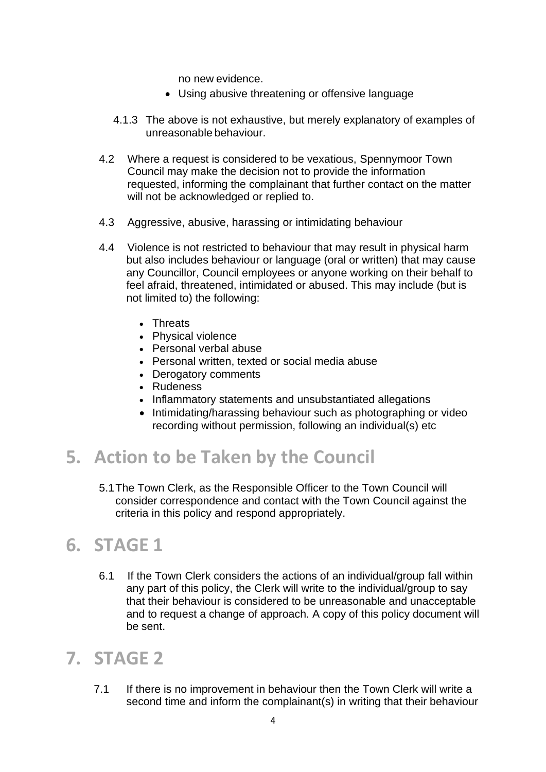no new evidence.

- Using abusive threatening or offensive language
- 4.1.3 The above is not exhaustive, but merely explanatory of examples of unreasonable behaviour.
- 4.2 Where a request is considered to be vexatious, Spennymoor Town Council may make the decision not to provide the information requested, informing the complainant that further contact on the matter will not be acknowledged or replied to.
- 4.3 Aggressive, abusive, harassing or intimidating behaviour
- 4.4 Violence is not restricted to behaviour that may result in physical harm but also includes behaviour or language (oral or written) that may cause any Councillor, Council employees or anyone working on their behalf to feel afraid, threatened, intimidated or abused. This may include (but is not limited to) the following:
	- Threats
	- Physical violence
	- Personal verbal abuse
	- Personal written, texted or social media abuse
	- Derogatory comments
	- Rudeness
	- Inflammatory statements and unsubstantiated allegations
	- Intimidating/harassing behaviour such as photographing or video recording without permission, following an individual(s) etc

## **5. Action to be Taken by the Council**

5.1The Town Clerk, as the Responsible Officer to the Town Council will consider correspondence and contact with the Town Council against the criteria in this policy and respond appropriately.

#### **6. STAGE 1**

6.1 If the Town Clerk considers the actions of an individual/group fall within any part of this policy, the Clerk will write to the individual/group to say that their behaviour is considered to be unreasonable and unacceptable and to request a change of approach. A copy of this policy document will be sent.

#### **7. STAGE 2**

7.1 If there is no improvement in behaviour then the Town Clerk will write a second time and inform the complainant(s) in writing that their behaviour